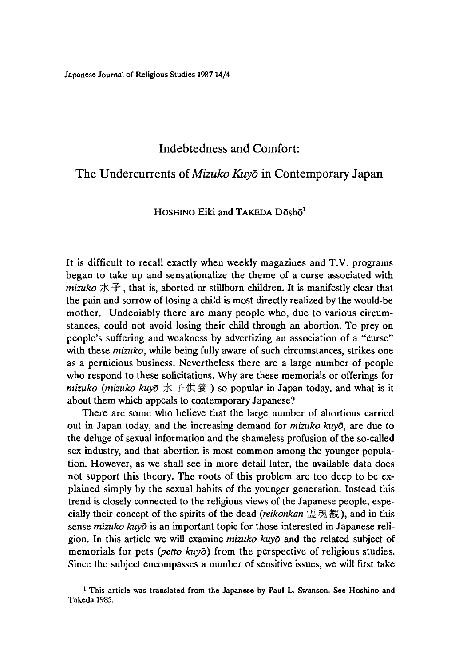Japanese Journal of Religious Studies 1987 14/4

## **Indebtedness and Comfort:**

# **The Undercurrents of** *Mizuko Kuyd* **in Contemporary Japan**

#### HOSHINO Eiki and TAKEDA  $D\bar{o}sh\bar{o}^1$

It is difficult to recall exactly when weekly magazines and T.V. programs began to take up and sensationalize the theme of a curse associated with *mizuko*  $\forall k \in \mathcal{F}$ , that is, aborted or stillborn children. It is manifestly clear that the pain and sorrow of losing a child is most directly realized by the would-be mother. Undeniably there are many people who, due to various circumstances, could not avoid losing their child through an abortion. To prey on people's suffering and weakness by advertizing an association of a "ciurse" with these *mizuko,* while being fully aware of such circumstances, strikes one as a pernicious business. Nevertheless there are a large number of people who respond to these solicitations. Why are these memorials or offerings for *mizuko (mizuko kuyō* 水子供養) so popular in Japan today, and what is it about them which appeals to contemporary Japanese?

There are some who believe that the large number of abortions carried out in Japan today, and the increasing demand for *mizuko kuyd,* are due to the deluge of sexual information and the shameless profusion of the so-called sex industry, and that abortion is most common among the younger population. However, as we shall see in more detail later, the available data does not support this theory. The roots of this problem are too deep to be explained simply by the sexual habits of the younger generation. Instead this trend is closely connected to the religious views of the Japanese people, especially their concept of the spirits of the dead *(reikonkan* 霊魂観),and in this sense *mizuko kuyo* is an important topic for those interested in Japanese religion. In this article we will examine *mizuko kuyo* and the related subject of memorials for pets *(petto kuyo)* from the perspective of religious studies. Since the subject encompasses a number of sensitive issues, we will first take

<sup>&</sup>lt;sup>1</sup> This article was translated from the Japanese by Paul L. Swanson. See Hoshino and Takeda 1985.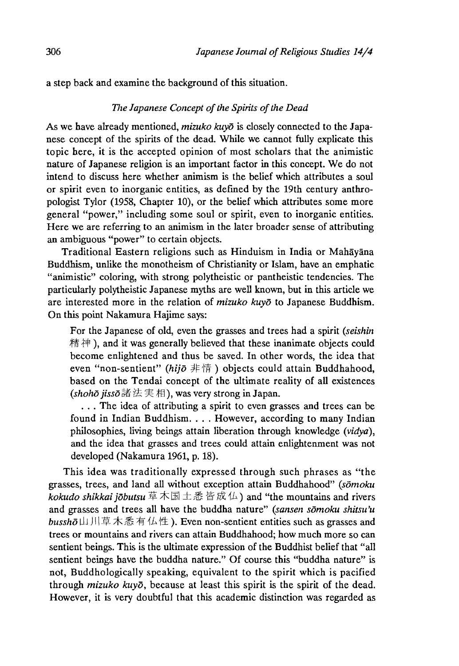a step back and examine the background of this situation.

## *The Japanese Concept of the Spirits of the Dead*

As we have already mentioned, *mizuko kuyd* is closely connected to the Japanese concept of the spirits of the dead. While we cannot fully explicate this topic here, it is the accepted opinion of most scholars that the animistic nature of Japanese religion is an important factor in this concept. We do not intend to discuss here whether animism is the belief which attributes a soul or spirit even to inorganic entities, as defined by the 19th century anthropologist Tylor (1958, Chapter 10), or the belief which attributes some more general "power," including some soul or spirit, even to inorganic entities. Here we are referring to an animism in the later broader sense of attributing an ambiguous "power" to certain objects.

Traditional Eastern religions such as Hinduism in India or Mahayana Buddhism, unlike the monotheism of Christianity or Islam, have an emphatic "animistic" coloring, with strong polytheistic or pantheistic tendencies. The particularly polytheistic Japanese myths are well known, but in this article we are interested more in the relation of *mizuko kuyd* to Japanese Buddhism. On this point Nakamura Hajime says:

For the Japanese of old, even the grasses and trees had a spirit *(seishin* 精神), and it was generally believed that these inanimate objects could become enlightened and thus be saved. In other words, the idea that even "non-sentient" *(hijo* 非 情 ) objects could attain Buddhahood, based on the Tendai concept of the ultimate reality of all existences *(shoho jisso* 諸法実相),was very strong in Japan.

. . . The idea of attributing a spirit to even grasses and trees can be found in Indian Buddhism. . . . However, according to many Indian philosophies, living beings attain liberation through knowledge *(vidya)*, and the idea that grasses and trees could attain enlightenment was not developed (Nakamura 1961, p. 18).

This idea was traditionally expressed through such phrases as "the grasses, trees, and land all without exception attain Buddhahood" *(somoku kokudo shikkai jobutsu* 草木国土 悉皆成仏)and "the mountains and rivers and grasses and trees all have the buddha nature" (sansen somoku shitsu'u *bussho* 山川早木悉有仏性). Even non-sentient entities such as grasses and trees or mountains ana rivers can attain Buddhahood; how much more so can sentient beings. This is the ultimate expression of the Buddhist belief that "all sentient beings have the buddha nature." Of course this "buddha nature" is not, Buddhologically speaking, equivalent to the spirit which is pacified through *mizuko kuyd,* because at least this spirit is the spirit of the dead. However, it is very doubtful that this academic distinction was regarded as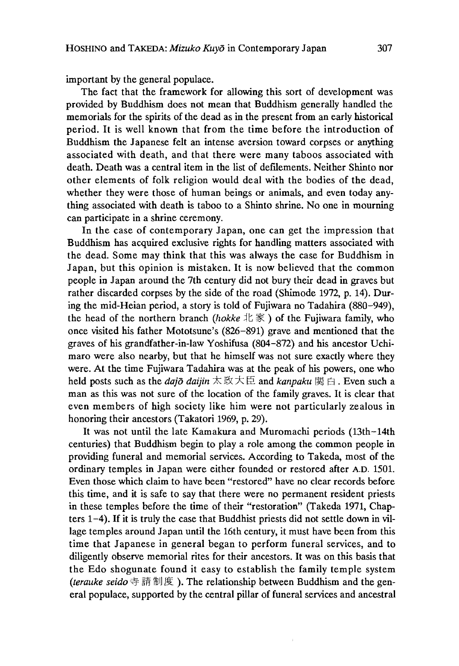important by the general populace.

The fact that the framework for allowing this sort of development was provided by Buddhism does not mean that Buddhism generally handled the memorials for the spirits of the dead as in the present from an early historical period. It is well known that from the time before the introduction of Buddhism the Japanese felt an intense aversion toward corpses or anything associated with death, and that there were many taboos associated with death. Death was a central item in the list of defilements. Neither Shinto nor other elements of folk religion would deal with the bodies of the dead, whether they were those of human beings or animals, and even today anything associated with death is taboo to a Shinto shrine. No one in mourning can participate in a shrine ceremony.

In the case of contemporary Japan, one can get the impression that Buddhism has acquired exclusive rights for handling matters associated with the dead. Some may think that this was always the case for Buddhism in Japan, but this opinion is mistaken. It is now believed that the common people in Japan around the 7th century did not bury their dead in graves but rather discarded corpses by the side of the road (Shimode 1972, p. 14). During the mid-Heian period, a story is told of Fujiwara no Tadahira (880-949), the head of the northern branch  $(hokke \, 1 \, \overline{\otimes})$  of the Fujiwara family, who once visited his father Mototsune's (826-891) grave and mentioned that the graves or his grandfather-in-law Yoshifusa (804-872) and his ancestor Uchimaro were also nearby, but that he himself was not sure exactly where they were. At the time Fujiwara Tadahira was at the peak of his powers, one who held posts such as the *dajō daijin* 太政大臣 and *kanpaku* 関白. Even such a man as this was not sure of the location of the family graves. It is clear that even members of high society like him were not particularly zealous in honoring their ancestors (Takatori 1969, p. 29).

It was not until the late Kamakura and Muromachi periods (13th—14th centuries) that Buddhism begin to play a role among the common people in providing funeral and memorial services. According to Takeda, most of the ordinary temples in Japan were either founded or restored after A.D. 1501. Even those which claim to have been "restored" have no clear records before this time, and it is safe to say that there were no permanent resident priests in these temples before the time of their "restoration" (Takeda 1971, Chapters 1-4). If it is truly the case that Buddhist priests did not settle down in village temples around Japan until the 16th century, it must have been from this time that Japanese in general began to perform funeral services, and to diligently observe memorial rites for their ancestors. It was on this basis that the Edo shogunate found it easy to establish the family temple system *(terauke seido* 寺請制度). The relationship between Buddhism and the general populace, supported by the central pillar of funeral services and ancestral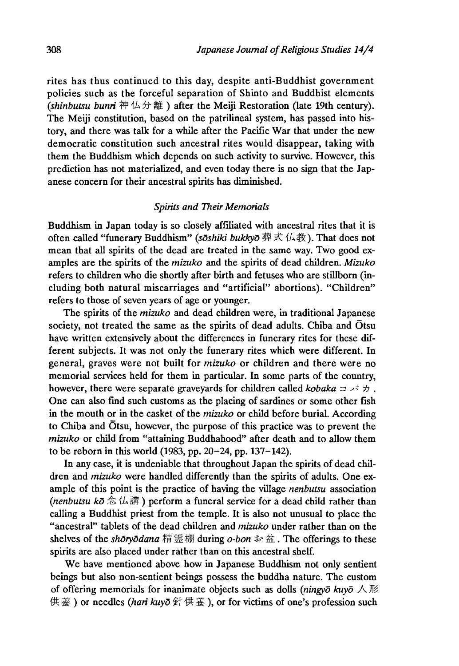rites has thus continued to this day, despite anti-Buddhist government policies such as the forceful separation of Shinto and Buddhist elements *(shinbutsu bunri* 神仏分離 )after the Meiji Restoration (late 19th century). The Meiji constitution, based on the patrilineal system, has passed into history, and there was talk for a while after the Pacific War that under the new democratic constitution such ancestral rites would disappear, taking with them the Buddhism which depends on such activity to survive. However, this prediction has not materialized, and even today there is no sign that the Japanese concern for their ancestral spirits has diminished.

#### *Spirits and Their Memorials*

Buddhism in Japan today is so closely affiliated with ancestral rites that it is often called "funerary Buddhism" *(soshiki bukkyo* 葬式仏教). That does not mean that all spirits of the dead are treated in the same way. Two good examples are the spirits of the *mizuko* and the spirits of dead children. *Mizuko* refers to children who die shortly after birth and fetuses who are stillborn (including both natural miscarriages and "artificial" abortions). "Children" refers to those of seven years of age or younger.

The spirits of the *mizuko* and dead children were, in traditional Japanese society, not treated the same as the spirits of dead adults. Chiba and Otsu have written extensively about the differences in funerary rites for these different subjects. It was not only the funerary rites which were different. In general, graves were not built for *mizuko* or children and there were no memorial services held for them in particular. In some parts of the country, however, there were separate graveyards for children called *kobaka* コ パ 力 . One can also find such customs as the placing of sardines or some other fish in the mouth or in the casket of the *mizuko* or chila before burial. According to Chiba and Otsu, however, the purpose of this practice was to prevent the *mizuko* or child from "attaining Buddhahood" after death and to allow them to be reborn in this world (1983, pp. 20-24, pp. 137-142).

In any case, it is undeniable that throughout Japan the spirits of dead children and *mizuko* were handled differently than the spirits of adults. One example of this point is the practice of having the village *nenbutsu* association *{nenbutsu kd 念仏講)* perform a funeral service for a dead child rather than calling a Buddhist priest from the temple. It is also not unusual to place the "ancestral" tablets of the dead children and *mizuko* under rather than on the shelves of the *shoryodana* 精霊棚 during *o-bon*  $\ast$  盆. The offerings to these spirits are also placed under rather than on this ancestral shelf.

We have mentioned above how in Japanese Buddhism not only sentient beings but also non-sentient beings possess the buddha nature. The custom of offering memorials for inanimate objects such as dolls *(ningyd kuyd* 人形 供養) or needles (hari kuyō 针供養), or for victims of one's profession such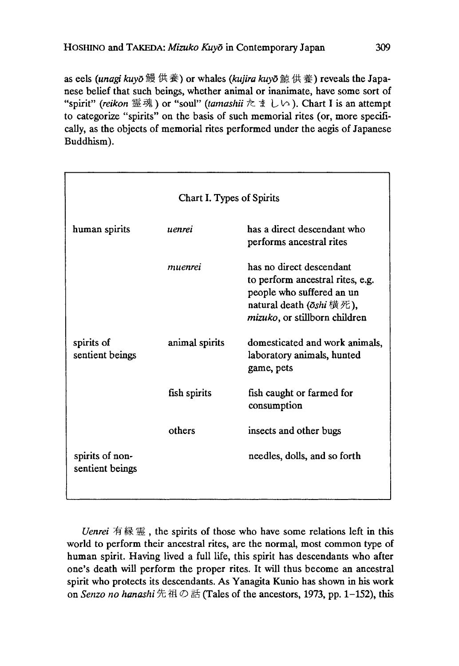as eels *(unagi kuyo*賴供養)or whales *(kujira kuyd*蘇供養)reveals the Japanese belief that such beings, whether animal or inanimate, have some sort of "spirit" *{reikon* 霊魂)or "soul" *(tamashii* たましい). Chart I is an attempt to categorize "spirits" on the basis of such memorial rites (or, more specifically, as the objects of memorial rites performed under the aegis of Japanese Buddhism).

| Chart I. Types of Spirits          |                |                                                                                                                                                                 |  |  |  |  |  |
|------------------------------------|----------------|-----------------------------------------------------------------------------------------------------------------------------------------------------------------|--|--|--|--|--|
| human spirits                      | uenrei         | has a direct descendant who<br>performs ancestral rites                                                                                                         |  |  |  |  |  |
|                                    | muenrei        | has no direct descendant<br>to perform ancestral rites, e.g.<br>people who suffered an un<br>natural death ( $\bar{o}$ shi横死),<br>mizuko, or stillborn children |  |  |  |  |  |
| spirits of<br>sentient beings      | animal spirits | domesticated and work animals,<br>laboratory animals, hunted<br>game, pets                                                                                      |  |  |  |  |  |
|                                    | fish spirits   | fish caught or farmed for<br>consumption                                                                                                                        |  |  |  |  |  |
|                                    | others         | insects and other bugs                                                                                                                                          |  |  |  |  |  |
| spirits of non-<br>sentient beings |                | needles, dolls, and so forth                                                                                                                                    |  |  |  |  |  |

*Uenrei* 有縁霊, the spirits of those who have some relations left in this world to perform their ancestral rites, are the normal, most common type of human spirit. Having lived a full life, this spirit has descendants who after one's death will perform the proper rites. It will thus become an ancestral spirit who protects its descendants. As Yanagita Kunio has shown in his work on *Senzo no hanashi 先祖*の話(Tales of the ancestors, 1973 pp. 1-152), this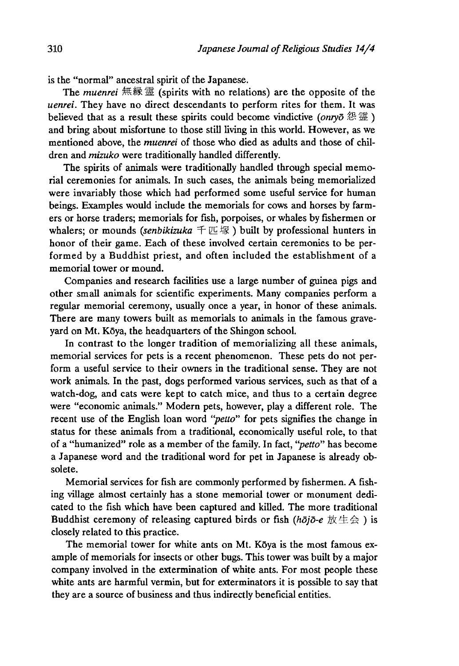is the "normal" ancestral spirit of the Japanese.

The *muenrei* 無縁霊 (spirits with no relations) are the opposite of the *uenrei*. They have no direct descendants to perform rites for them. It was believed that as a result these spirits could become vindictive *(onryo* 怨 霊 ) and bring about misfortune to those still living in this world. However, as we mentioned above, the *muenrei* of those who died as adults and those of children and *mizuko* were traditionally handled differently.

The spirits of animals were traditionally handled through special memorial ceremonies for animals. In such cases, the animals being memorialized were invariably those which had performed some useful service for human beings. Examples would include the memorials for cows and horses by farmers or horse traders; memorials for fish, porpoises, or whales by fishermen or whalers; or mounds *(senbikizuka*  $\pm \mathbb{E} \mathbb{K}$ ) built by professional hunters in honor of their game. Each of these involved certain ceremonies to be performed by a Buddhist priest, and often included the establishment of a memorial tower or mound.

Companies and research facilities use a large number of guinea pigs and other small animals for scientific experiments. Many companies perform a regular memorial ceremony, usually once a year, in honor of these animals. There are many towers built as memorials to animals in the famous graveyard on Mt. Kōya, the headquarters of the Shingon school.

In contrast to the longer tradition of memorializing all these animals, memorial services for pets is a recent phenomenon. These pets do not perform a useful service to their owners in the traditional sense. They are not work animals. In the past, dogs performed various services, such as that of a watch-dog, and cats were kept to catch mice, and thus to a certain degree were "economic animals." Modern pets, however, play a different role. The recent use of the English loan word *"petto"* for pets signifies the change in status for these animals from a traditional, economically useful role, to that of a "humanized" role as a member of the family. In fact, *"petto"* has become a Japanese word and the traditional word for pet in Japanese is already obsolete.

Memorial services for fish are commonly performed by fishermen. A fishing village almost certainly has a stone memorial tower or monument dedicated to the fish which have been captured and killed. The more traditional Buddhist ceremony of releasing captured birds or fish (hōjō-e 放生会) is closely related to this practice.

The memorial tower for white ants on Mt. Kōya is the most famous example of memorials for insects or other bugs. This tower was built by a major company involved in the extermination of white ants. For most people these white ants are harmful vermin, but for exterminators it is possible to say that they are a source of business and thus indirectly beneficial entities.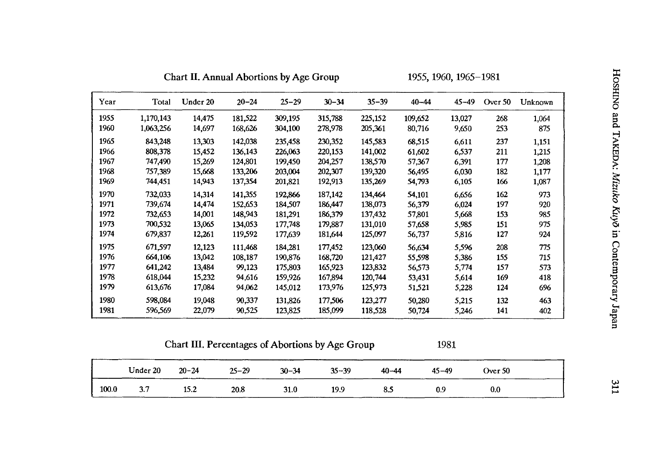| Year | Total     | Under 20 | $20 - 24$ | $25 - 29$ | $30 - 34$ | $35 - 39$ | $40 - 44$ | $45 - 49$ | Over 50 | Unknown |
|------|-----------|----------|-----------|-----------|-----------|-----------|-----------|-----------|---------|---------|
| 1955 | 1,170,143 | 14,475   | 181,522   | 309,195   | 315,788   | 225,152   | 109,652   | 13,027    | 268     | 1,064   |
| 1960 | 1,063,256 | 14,697   | 168,626   | 304,100   | 278,978   | 205,361   | 80,716    | 9,650     | 253     | 875     |
| 1965 | 843,248   | 13,303   | 142,038   | 235,458   | 230,352   | 145,583   | 68.515    | 6,611     | 237     | 1.151   |
| 1966 | 808,378   | 15,452   | 136,143   | 226,063   | 220,153   | 141,002   | 61,602    | 6,537     | 211     | 1,215   |
| 1967 | 747,490   | 15,269   | 124,801   | 199,450   | 204,257   | 138,570   | 57,367    | 6,391     | 177     | 1,208   |
| 1968 | 757,389   | 15,668   | 133,206   | 203,004   | 202,307   | 139,320   | 56,495    | 6,030     | 182     | 1,177   |
| 1969 | 744,451   | 14,943   | 137,354   | 201,821   | 192,913   | 135,269   | 54,793    | 6,105     | 166     | 1,087   |
| 1970 | 732,033   | 14,314   | 141,355   | 192,866   | 187,142   | 134,464   | 54,101    | 6,656     | 162     | 973     |
| 1971 | 739,674   | 14,474   | 152.653   | 184,507   | 186,447   | 138,073   | 56,379    | 6,024     | 197     | 920     |
| 1972 | 732,653   | 14,001   | 148,943   | 181,291   | 186,379   | 137,432   | 57,801    | 5,668     | 153     | 985     |
| 1973 | 700,532   | 13,065   | 134,053   | 177,748   | 179,887   | 131,010   | 57,658    | 5,985     | 151     | 975     |
| 1974 | 679,837   | 12,261   | 119,592   | 177,639   | 181,644   | 125,097   | 56,737    | 5,816     | 127     | 924     |
| 1975 | 671,597   | 12,123   | 111,468   | 184,281   | 177,452   | 123,060   | 56,634    | 5,596     | 208     | 775     |
| 1976 | 664,106   | 13,042   | 108,187   | 190,876   | 168,720   | 121,427   | 55,598    | 5,386     | 155     | 715     |
| 1977 | 641,242   | 13,484   | 99,123    | 175,803   | 165,923   | 123,832   | 56,573    | 5,774     | 157     | 573     |
| 1978 | 618,044   | 15,232   | 94,616    | 159,926   | 167,894   | 120,744   | 53,431    | 5.614     | 169     | 418     |
| 1979 | 613,676   | 17,084   | 94,062    | 145,012   | 173,976   | 125,973   | 51,521    | 5,228     | 124     | 696     |
| 1980 | 598,084   | 19,048   | 90,337    | 131,826   | 177.506   | 123,277   | 50,280    | 5,215     | 132     | 463     |
| 1981 | 596,569   | 22,079   | 90.525    | 123,825   | 185,099   | 118,528   | 50,724    | 5,246     | 141     | 402     |

Chart II. Annual Abortions by Age Group 1955 1960,1965-1981

| Chart III. Percentages of Abortions by Age Group | 1981 |
|--------------------------------------------------|------|
|                                                  |      |

|                                                                                                                                                                                                                                                  |           |                |           | __        | __        |           |        |
|--------------------------------------------------------------------------------------------------------------------------------------------------------------------------------------------------------------------------------------------------|-----------|----------------|-----------|-----------|-----------|-----------|--------|
| Under 20<br><b>The Contract of Contract of the Contract of The Contract of The Contract of The Contract of The Contract of The Contract of The Contract of The Contract of The Contract of The Contract of The Contract of The Contract of T</b> | $20 - 24$ | $25 - 29$<br>. | $30 - 34$ | $35 - 39$ | $40 - 44$ | $45 - 49$ | Over 5 |

Under 20 20-24 25-29 30-34 35-39 40-44 45-49 Over 50 100.0 3.7 15.2 20.8 31.0 19.9 85 0.9 0.0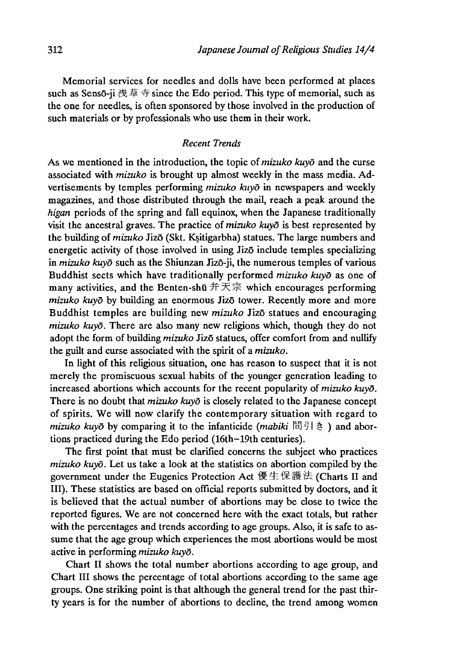Memorial services for needles and dolls have been performed at places such as Sensō-ji 浅草寺 since the Edo period. This type of memorial, such as the one for needles, is often sponsored by those involved in the production of such materials or by professionals who use them in their work.

### *Recent Trends*

As we mentioned in the introduction, the topic of *mizuko kuyd* and the curse associated with *mizuko* is brought up almost weekly in the mass media. Advertisements by temples performing *mizuko kayo* in newspapers and weekly magazines, and those distributed through the mail, reach a peak around the *higan* periods of the spring and fall equinox, when the Japanese traditionally visit the ancestral graves. The practice of *mizuko kuyo* is best represented by the building of *mizuko* Jizō (Skt. Ksitigarbha) statues. The large numbers and energetic activity of those involved in using Jizo include temples specializing in *mizuko kuyd* such as the Shiunzan Jizo-ji, the numerous temples of various Buddhist sects which have traditionally performed *mizuko kuyo* as one of many activities, and the Benten-shū  $\hat{H}$   $\overline{\mathcal{F}}$  which encourages performing *mizuko kuyo* by building an enormous Jizo tower. Recently more and more Buddhist temples are building new *mizuko* Jizo statues and encouraging *mizuko kuyo.* There are also many new religions which, though they do not adopt the form of building *mizuko* Jizo statues, offer comfort from and nullify the guilt and curse associated with the spirit of a *mizuko.*

In light of this religious situation, one has reason to suspect that it is not merely the promiscuous sexual habits of the younger generation leading to increased abortions which accounts for the recent popularity of *mizuko kuyd.* There is no doubt that *mizuko kuyd* is closely related to the Japanese concept of spirits. We will now clarify the contemporary situation with regard to *mizuko kuyō* by comparing it to the infanticide *(mabiki* 間引き) and abortions practiced during the Edo period (16th-19th centuries).

The first point that must be clarified concerns the subject who practices *mizuko kuyo.* Let us take a look at the statistics on abortion compiled by the government under the Eugenics Protection Act 優生保護法(Charts II and III). These statistics are based on official reports submitted by doctors, and it is believed that the actual number of abortions may be dose to twice the reported figures. We are not concerned here with the exact totals, but rather with the percentages and trends according to age groups. Also, it is safe to assume that the age group which experiences the most abortions would be most active in performing *mizuko kuyd.*

Chart II shows the total number abortions according to age group, and Chart III shows the percentage of total abortions according to the same age groups. One striking point is that although the general trend for the past thirty years is for the number of abortions to decline, the trend among women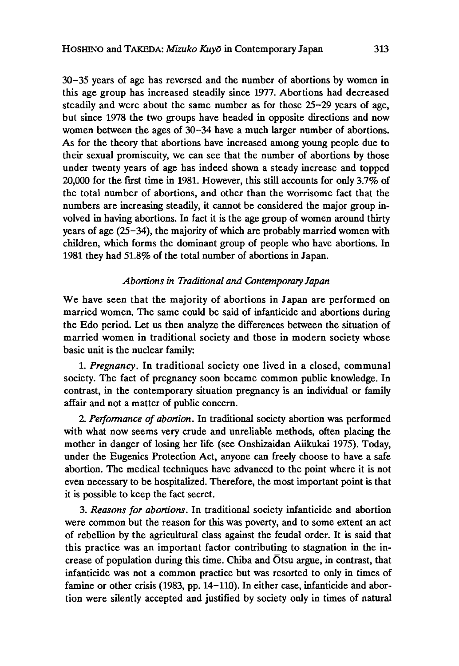30-35 years of age has reversed and the number of abortions by women in this age group has increased steadily since 1977. Abortions had decreased steadily and were about the same number as for those 25-29 years of age, but since 1978 the two groups have headed in opposite directions and now women between the ages of 30-34 have a much larger number of abortions. As for the theory that abortions have increased among young people due to their sexual promiscuity, we can see that the number of abortions by those under twenty years of age has indeed shown a steady increase and topped 20,000 for the first time in 1981. However, this still accounts for only 3.7% of the total number of abortions, and other than the worrisome fact that the numbers are increasing steadily, it cannot be considered the major group involved in having abortions. In fact it is the age group of women around thirty years of age (25-34), the majority of which are probably married women with children, which forms the dominant group of people who have abortions. In 1981 they had 51.8% of the total number of abortions in Japan.

## *Abortions in Traditional and Contemporary Japan*

We have seen that the majority of abortions in Japan are performed on married women. The same could be said of infanticide and abortions during the Edo period. Let us then analyze the differences between the situation of married women in traditional society and those in modern society whose basic unit is the nuclear family:

1 .*Pregnancy,* In traditional society one lived in a closed, communal society. The fact of pregnancy soon became common public knowledge. In contrast, in the contemporary situation pregnancy is an individual or family affair and not a matter of public concern.

2. *Performance of abortion.* In traditional society abortion was performed with what now seems very crude and unreliable methods, often placing the mother in danger of losing her life (see Onshizaidan Aiikukai 1975). Today, under the Eugenics Protection Act, anyone can freely choose to have a safe abortion. The medical techniques have advanced to the point where it is not even necessary to be hospitalized. Therefore, the most important point is that it is possible to keep the fact secret.

3. *Reasons for abortions.* In traditional society infanticide and abortion were common but the reason for this was poverty, and to some extent an act of rebellion by the agricultural class against the feudal order. It is said that this practice was an important factor contributing to stagnation in the increase of population during this time. Chiba and Otsu argue, in contrast, that infanticide was not a common practice but was resorted to only in times of famine or other crisis (1983, pp. 14-110). In either case, infanticide and abortion were silently accepted and justified by society only in times of natural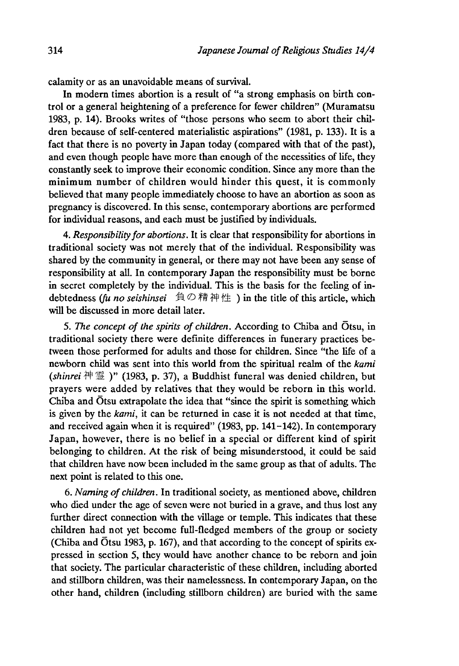calamity or as an unavoidable means of survival.

In modern times abortion is a result of "a strong emphasis on birth control or a general heightening of a preference for fewer children" (Muramatsu 1983, p. 14). Brooks writes of "those persons who seem to abort their children because of self-centered materialistic aspirations" (1981, p. 133). It is a fact that there is no poverty in Japan today (compared with that of the past), and even though people have more than enough of the necessities of life, they constantly seek to improve their economic condition. Since any more than the minimum number of children would hinder this quest, it is commonly believed that many people immediately choose to have an abortion as soon as pregnancy is discovered. In this sense, contemporary abortions are performed for individual reasons, and each must be justified by individuals.

4. *Responsibility for abortions.* It is clear that responsibility for abortions in traditional society was not merely that of the individual. Responsibility was shared by the community in general, or there may not have been any sense of responsibility at all. In contemporary Japan the responsibility must be borne in secret completely by the individual. This is the basis for the feeling of indebtedness (fu no seishinsei 負の精神性) in the title of this article, which will be discussed in more detail later.

5. *The concept of the spirits of children.* According to Chiba and Otsu, in traditional society there were definite differences in funerary practices between those performed for adults and those for children. Since "the life of a newborn child was sent into this world from the spiritual realm of the *kami* (shinrei 神霊)" (1983, p. 37), a Buddhist funeral was denied children, but prayers were added by relatives that they would be reborn in this world. Chiba and Otsu extrapolate the idea that "since the spirit is something which is given by the *kami,* it can be returned in case it is not needed at that time, and received again when it is required" (1983, pp. 141-142). In contemporary Japan, however, there is no belief in a special or different kind of spirit belonging to children. At the risk of being misunderstood, it could be said that children have now been included m the same group as that of adults. The next point is related to this one.

6. *Naming of children.* In traditional society, as mentioned above, children who died under the age of seven were not buried in a grave, and thus lost any further direct connection with the village or temple. This indicates that these children had not yet become full-fledged members of the group or society (Chiba and Otsu 1983, p. 167), and that according to the concept of spirits expressed in section 5, they would have another chance to be reborn and join that society. The particular characteristic of these children, including aborted and stillborn children, was their namelessness. In contemporary Japan, on the other hand, children (including stillborn children) are buried with the same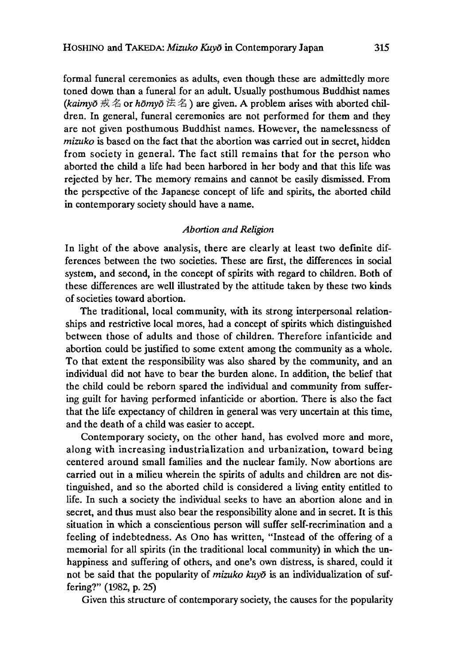formal funeral ceremonies as adults, even though these are admittedly more toned down than a funeral for an adult. Usually posthumous Buddhist names (kaimyō 戒名 or *hōmyō* 法名) are given. A problem arises with aborted children. In general, funeral ceremonies are not performed for them and they are not given posthumous Buddhist names. However, the namelessness of *mizuko* is based on the fact that the abortion was carried out in secret, hidden from society in general. The fact still remains that for the person who aborted the child a life had been harbored in her body and that this life was rejected by her. The memory remains and cannot be easily dismissed. From the perspective of the Japanese concept of life and spirits, the aborted child in contemporary society should have a name.

#### *Abortion and Religion*

In light of the above analysis, there are clearly at least two definite differences between the two societies. These are first, the differences in social system, and second, in the concept of spirits with regard to children. Both of these differences are well illustrated by the attitude taken by these two kinds of societies toward abortion.

The traditional, local community, with its strong interpersonal relationships and restrictive local mores, had a concept of spirits which distinguished between those of adults and those of children. Therefore infanticide and abortion could be justified to some extent among the community as a whole. To that extent the responsibility was also shared by the community, and an individual did not have to bear the burden alone. In addition, the belief that the child could be reborn spared the individual and community from suffering guilt for having performed infanticide or abortion. There is also the fact that the life expectancy of children in general was very uncertain at this time, and the death of a child was easier to accept.

Contemporary society, on the other hand, has evolved more and more, along with increasing industrialization and urbanization, toward being centered around small families and the nuclear family. Now abortions are carried out in a milieu wherein the spirits of adults and children are not distinguished, and so the aborted child is considered a living entity entitled to life. In such a society the individual seeks to have an abortion alone ana in secret, and thus must also bear the responsibility alone and in secret. It is this situation in which a conscientious person will suffer self-recrimination and a feeling of indebtedness. As Ono has written, "Instead of the offering of a memorial for all spirits (in the traditional local community) in which the unhappiness and suffering of others, and one's own distress, is shared, could it not be said that the popularity of *mizuko kuyd* is an individualization of suffering?" (1982, p. 25)

Given this structure of contemporary society, the causes for the popularity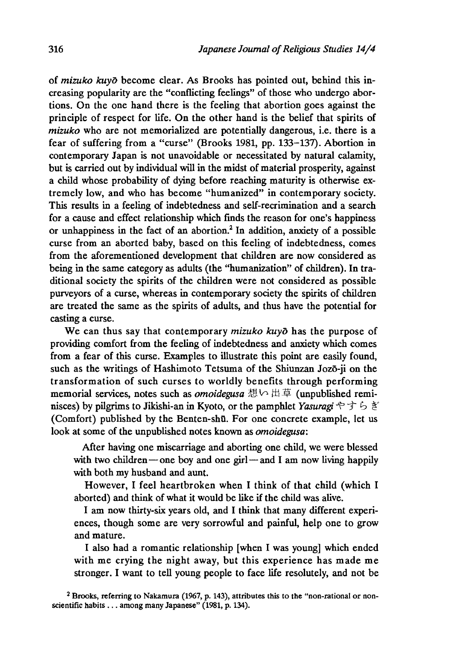of *mizuko kuyo* become clear. As Brooks has pointed out, behind this increasing popularity are the "conflicting feelings" of those who undergo abortions. On the one hand there is the feeling that abortion goes against the principle of respect for life. On the other hand is the belief that spirits of *mizuko* who are not memorialized are potentially dangerous, i.e. there is a fear of suffering from a "curse" (Brooks 1981, pp. 133-137). Abortion in contemporary Japan is not unavoidable or necessitated by natural calamity, but is carried out by individual will in the midst of material prosperity, against a child whose probability of dying before reaching maturity is otherwise extremely low, and who has become "humanized" in contemporary society. This results in a feeling of indebtedness and self-recrimination and a search for a cause and effect relationship which finds the reason for one's happiness or unhappiness in the fact of an abortion.2 In addition, anxiety of a possible curse from an aborted baby, based on this feeling of indebtedness, comes from the aforementioned development that children are now considered as being in the same category as adults (the "humanization" of children). In traditional society the spirits of the children were not considered as possible purveyors of a curse, whereas in contemporary society the spirits of children are treated the same as the spirits of adults, and thus have the potential for casting a curse.

We can thus say that contemporary *mizuko kuyo* has the purpose of providing comfort from the feeling of indebtedness and anxiety which comes from a fear of this curse. Examples to illustrate this point are easily found, such as the writings of Hashimoto Tetsuma of the Shiunzan Jozo-ji on the transformation of such curses to worldly benefits through performing memorial services, notes such as *omoidegusa* 想い出草 (unpublished reminisces) by pilgrims to Jikishi-an in Kyoto, or the pamphlet *Yasuragi* やすらぎ (Comfort) published by the Benten-shū. For one concrete example, let us look at some of the unpublished notes known as *omoidegusa:*

After having one miscarriage and aborting one child, we were blessed with two children — one boy and one girl—and I am now living happily with both my husband and aunt.

However, I feel heartbroken when I think of that child (which I aborted) and think of what it would be like if the child was alive.

I am now thirty-six years old, and I think that many different experiences, though some are very sorrowful and painful, help one to grow and mature.

I also had a romantic relationship [when I was young] which ended with me crying the night away, but this experience has made me stronger. I want to tell young people to face life resolutely, and not be

*2* Brooks, referring to Nakamura (1967, p. 143), attributes this to the "non-rational or nonscientific habits . . . among many Japanese" (1981, p. 134).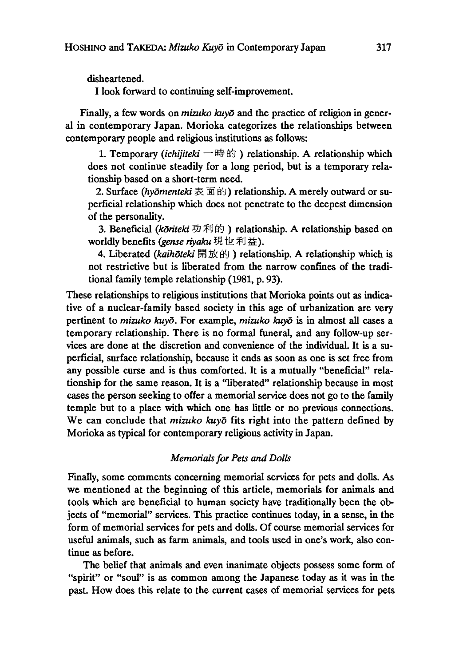disheartened.

I look forward to continuing self-improvement.

Finally, a few words on *mizuko kuyō* and the practice of religion in general in contemporary Japan. Morioka categorizes the relationships between contemporary people and religious institutions as follows:

1.Temporary *(ichijiteki* — 時的)relationship. A relationship which does not continue steadily for a long period, but is a temporary relationship based on a short-term need.

2. Surface *(hydmenteki* 表面的)relationship. A merely outward or superficial relationship which does not penetrate to the deepest dimension of the personality.

3. Beneficial *(koriteki* 功利的)relationship. A relationship based on worldly benefits *(gense riyaku* 現世利益 ).

4. Liberated *(kaihdteki* 開放的 )relationship. A relationship which is not restrictive but is liberated from the narrow confines of the traditional family temple relationship (1981, p. 93).

These relationships to religious institutions that Morioka points out as indicative of a nuclear-family based society in this age of urbanization are very pertinent to *mizuko kuyō*. For example, *mizuko kuyō* is in almost all cases a temporary relationship. There is no formal funeral, and any follow-up services are done at the discretion and convenience of the individual. It is a superficial, surface relationship, because it ends as soon as one is set free from any possible curse and is thus comforted. It is a mutually "beneficial" relationship for the same reason. It is a "liberated" relationship because in most cases the person seeking to offer a memorial service does not go to the family temple but to a place with which one has little or no previous connections. We can conclude that *mizuko kuyo* fits right into the pattern defined by Morioka as typical for contemporary religious activity in Japan.

## *Memorials for Pets and Dolls*

Finally, some comments concerning memorial services for pets and dolls. As we mentioned at the beginning of this article, memorials for animals and tools which are beneficial to human society have traditionally been the objects of "memorial" services. This practice continues today, in a sense, in the form of memorial services for pets and dolls. Of course memorial services for useful animals, such as farm animals, and tools used in one's work, also continue as before.

The belief that animals and even inanimate objects possess some form of "spirit" or "soul" is as common among the Japanese today as it was in the past. How does this relate to the current cases of memorial services for pets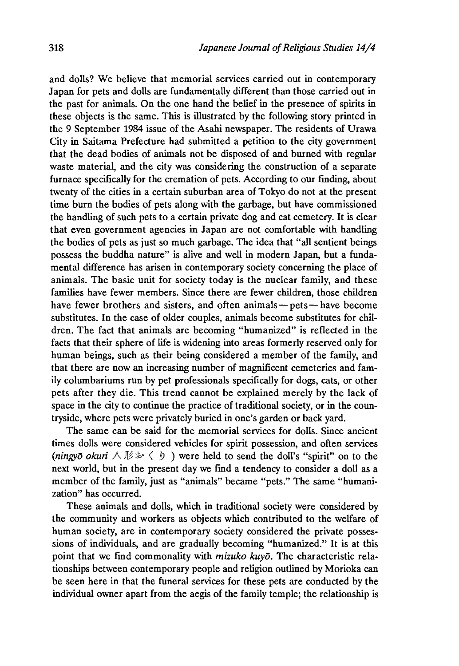and dolls? We believe that memorial services carried out in contemporary Japan for pets and dolls are fundamentally different than those carried out in the past for animals. On the one hand the belief in the presence of spirits in these objects is the same. This is illustrated by the following story printed in the 9 September 1984 issue of the Asahi newspaper. The residents of Urawa City in Saitama Prefecture had submitted a petition to the city government that the dead bodies of animals not be disposed of and burned with regular waste material, and the city was considering the construction of a separate furnace specifically for the cremation of pets. According to our finding, about twenty of the cities in a certain suburban area of Tokyo do not at the present time burn the bodies of pets along with the garbage, but have commissioned the handling of such pets to a certain private dog and cat cemetery. It is clear that even government agencies in Japan are not comfortable with handling the bodies of pets as just so much garbage. The idea that "all sentient beings possess the buddha nature" is alive and well in modern Japan, but a fundamental difference has arisen in contemporary society concerning the place of animals. The basic unit for society today is the nuclear family, and these families have fewer members. Since there are fewer children, those children have fewer brothers and sisters, and often animals — pets — have become substitutes. In the case of older couples, animals become substitutes for children. The fact that animals are becoming "humanized" is reflected in the facts that their sphere of life is widening into areas formerly reserved only for human beings, such as their being considered a member of the family, and that there are now an increasing number of magnificent cemeteries and family columbariums run by pet professionals specifically for dogs, cats, or other pets after they die. This trend cannot be explained merely by the lack of space in the city to continue the practice of traditional society, or in the countryside, where pets were privately buried in one's garden or back yard.

The same can be said for the memorial services for dolls. Since ancient times dolls were considered vehicles for spirit possession, and often services *(ningyō okuri*  $\land \nexists \< \>$ ) were held to send the doll's "spirit" on to the next world, but in the present day we find a tendency to consider a doll as a member of the family, just as "animals" became "pets." The same "humanization" has occurred.

These animals and dolls, which in traditional society were considered by the community and workers as objects which contributed to the welfare of human society, are in contemporary society considered the private possessions of individuals, and are gradually becoming "humanized." It is at this point that we find commonality with *mizuko kuyd.* The characteristic relationships between contemporary people and religion outlined by Morioka can be seen here in that the funeral services for these pets are conducted by the individual owner apart from the aegis of the family temple; the relationship is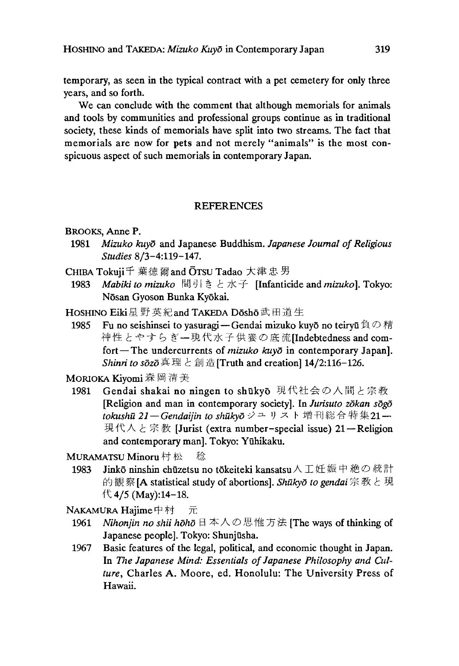temporary, as seen in the typical contract with a pet cemetery for only three years, and so forth.

We can conclude with the comment that although memorials for animals and tools by communities and professional groups continue as in traditional society, these kinds of memorials have split into two streams. The fact that memorials are now for pets and not merely "animals" is the most conspicuous aspect of such memorials in contemporary Japan.

## **REFERENCES**

#### BROOKS, Anne P.

- 1981 *Mizuko kuyd* and Japanese Buddhism. *Japanese Journal of Religious Studies* 8/3-4:119-147.
- CHIBA Tokuji千葉徳爾 and OTSU Tadao大津忠男
	- 1983 *Mabiki to mizuko* 間引きと水子 [Infanticide and *mizuko].* Tokyo: Nōsan Gyoson Bunka Kyōkai.

HOSHINO Eiki 星 野 英紀 and TAKEDA Dōshō 武田道生

1985 Fu no seishinsei to yasuragi — Gendai mizuko kuyō no teiryū 負の精 神性とやすらぎ一現代水子供養の底流[Indebtedness and comfort — The undercurrents of *mizuko kuyō* in contemporary Japan]. *Shinri to*  $s\bar{o}z\bar{o}$ 真理と創造[Truth and creation] 14/2:116-126.

MORIOKA Kiyomi 森岡清美

1981 Gendai shakai no ningen to shūkyō 現代社会の人間と宗教 [Religion and man in contemporary society]. In *Jurisuto zdkan sogo tokushu 21—Gendaijin to shukyD*ジュリスト増刊総合特集21— 現代人と宗教 [Jurist (extra number-special issue) 21—Religion and contemporary man], Tokyo: Yuhikaku.

MURAMATSU Minoru 村 松 稔

1983 Jinkō ninshin chūzetsu no tōkeiteki kansatsu 人工妊娠中絶の統計 的観察[A statistical study of abortions], *Shukyd to gendai*宗教と現  $\uparrow$  4/5 (May):14-18.

NAKAMURA Hajime中村 元

- 1961 *Nihonjin no shii hoho* 日本人の思惟方法[The ways of thinking of Japanese people]. Tokyo: Shunjūsha.
- 1967 Basic features of the legal, political, and economic thought in Japan. In *The Japanese Mind: Essentials of Japanese Philosophy and Cul*ture, Charles A. Moore, ed. Honolulu: The University Press of Hawaii.